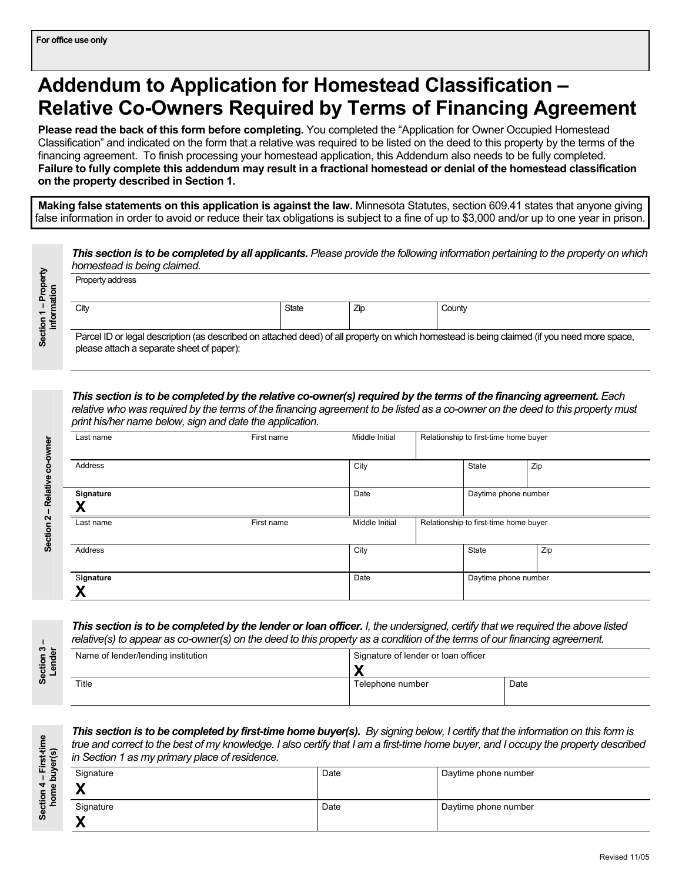# **Addendum to Application for Homestead Classification – Relative Co-Owners Required by Terms of Financing Agreement**

**Please read the back of this form before completing.** You completed the "Application for Owner Occupied Homestead Classification" and indicated on the form that a relative was required to be listed on the deed to this property by the terms of the financing agreement. To finish processing your homestead application, this Addendum also needs to be fully completed. **Failure to fully complete this addendum may result in a fractional homestead or denial of the homestead classification on the property described in Section 1.** 

**Making false statements on this application is against the law.** Minnesota Statutes, section 609.41 states that anyone giving false information in order to avoid or reduce their tax obligations is subject to a fine of up to \$3,000 and/or up to one year in prison.

| This section is to be completed by all applicants. Please provide the following information pertaining to the property on which<br>homestead is being claimed.<br>Property address       |              |     |        |  |  |  |
|------------------------------------------------------------------------------------------------------------------------------------------------------------------------------------------|--------------|-----|--------|--|--|--|
| City                                                                                                                                                                                     | <b>State</b> | Zip | County |  |  |  |
| Parcel ID or legal description (as described on attached deed) of all property on which homestead is being claimed (if you need more space,<br>please attach a separate sheet of paper): |              |     |        |  |  |  |

*This section is to be completed by the relative co-owner(s) required by the terms of the financing agreement. Each relative who was required by the terms of the financing agreement to be listed as a co-owner on the deed to this property must print his/her name below, sign and date the application.* 

|           | . .<br>. . |                |                      |                                       |                                       |  |
|-----------|------------|----------------|----------------------|---------------------------------------|---------------------------------------|--|
| Last name | First name | Middle Initial |                      | Relationship to first-time home buyer |                                       |  |
|           |            |                |                      |                                       |                                       |  |
| Address   |            | City           |                      | State                                 | Zip                                   |  |
|           |            |                |                      |                                       |                                       |  |
| Signature | Date       |                | Daytime phone number |                                       |                                       |  |
| v         |            |                |                      |                                       |                                       |  |
| Last name | First name | Middle Initial |                      |                                       | Relationship to first-time home buyer |  |
|           |            |                |                      |                                       |                                       |  |
| Address   |            | City           |                      | State                                 | Zip                                   |  |
|           |            |                |                      |                                       |                                       |  |
| Signature |            | Date           |                      | Daytime phone number                  |                                       |  |
|           |            |                |                      |                                       |                                       |  |

*This section is to be completed by the lender or loan officer. I, the undersigned, certify that we required the above listed relative(s) to appear as co-owner(s) on the deed to this property as a condition of the terms of our financing agreement.*

| Name of lender/lending institution | Signature of lender or loan officer |      |
|------------------------------------|-------------------------------------|------|
|                                    |                                     |      |
| Title                              | Telephone number                    | Date |
|                                    |                                     |      |

**This section is to be completed by first-time home buyer(s).** By signing below, I certify that the information on this form is *true and correct to the best of my knowledge. I also certify that I am a first-time home buyer, and I occupy the property described in Section 1 as my primary place of residence.*

| Signature | Date | Daytime phone number |
|-----------|------|----------------------|
| 10<br>́́  |      |                      |
| Signature | Date | Daytime phone number |
|           |      |                      |

**Section 1 – Property**  Section 1 - Property **information** 

> **Section 2 – Relative co-owner**  Section 2 - Relative co-owner

**Section 3 –**  Section 3-<br> **Lander** 

**Section 4 – First-time**  Section 4 – First-time<br>home buyer(s) **home buyer(s)**